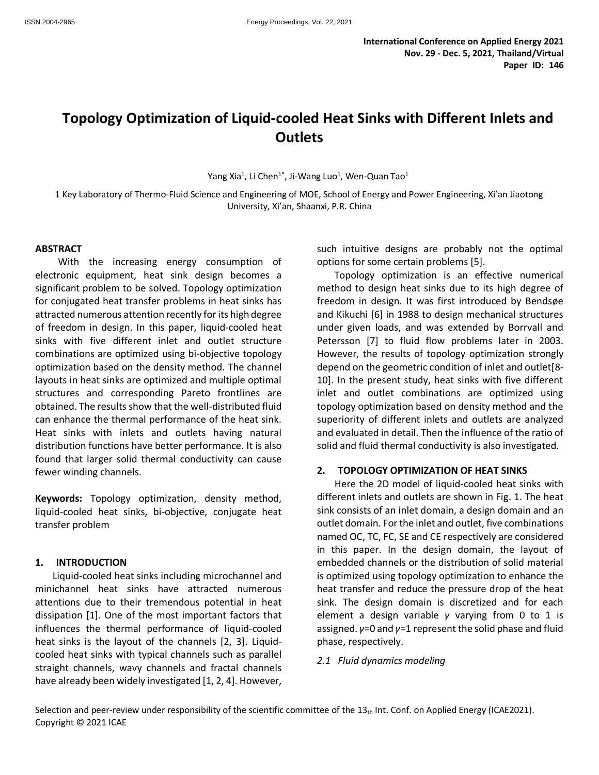# **Topology Optimization of Liquid-cooled Heat Sinks with Different Inlets and Outlets**

Yang Xia $^1$ , Li Chen $^{1*}$ , Ji-Wang Luo $^1$ , Wen-Quan Tao $^1$ 

1 Key Laboratory of Thermo-Fluid Science and Engineering of MOE, School of Energy and Power Engineering, Xi'an Jiaotong University, Xi'an, Shaanxi, P.R. China

#### **ABSTRACT**

With the increasing energy consumption of electronic equipment, heat sink design becomes a significant problem to be solved. Topology optimization for conjugated heat transfer problems in heat sinks has attracted numerous attention recently for its high degree of freedom in design. In this paper, liquid-cooled heat sinks with five different inlet and outlet structure combinations are optimized using bi-objective topology optimization based on the density method. The channel layouts in heat sinks are optimized and multiple optimal structures and corresponding Pareto frontlines are obtained. The results show that the well-distributed fluid can enhance the thermal performance of the heat sink. Heat sinks with inlets and outlets having natural distribution functions have better performance. It is also found that larger solid thermal conductivity can cause fewer winding channels.

**Keywords:** Topology optimization, density method, liquid-cooled heat sinks, bi-objective, conjugate heat transfer problem

#### **1. INTRODUCTION**

Liquid-cooled heat sinks including microchannel and minichannel heat sinks have attracted numerous attentions due to their tremendous potential in heat dissipation [1]. One of the most important factors that influences the thermal performance of liquid-cooled heat sinks is the layout of the channels [2, 3]. Liquidcooled heat sinks with typical channels such as parallel straight channels, wavy channels and fractal channels have already been widely investigated [1, 2, 4]. However, such intuitive designs are probably not the optimal options for some certain problems [5].

Topology optimization is an effective numerical method to design heat sinks due to its high degree of freedom in design. It was first introduced by Bendsøe and Kikuchi [6] in 1988 to design mechanical structures under given loads, and was extended by Borrvall and Petersson [7] to fluid flow problems later in 2003. However, the results of topology optimization strongly depend on the geometric condition of inlet and outlet[8- 10]. In the present study, heat sinks with five different inlet and outlet combinations are optimized using topology optimization based on density method and the superiority of different inlets and outlets are analyzed and evaluated in detail. Then the influence of the ratio of solid and fluid thermal conductivity is also investigated.

#### **2. TOPOLOGY OPTIMIZATION OF HEAT SINKS**

Here the 2D model of liquid-cooled heat sinks with different inlets and outlets are shown in Fig. 1. The heat sink consists of an inlet domain, a design domain and an outlet domain. For the inlet and outlet, five combinations named OC, TC, FC, SE and CE respectively are considered in this paper. In the design domain, the layout of embedded channels or the distribution of solid material is optimized using topology optimization to enhance the heat transfer and reduce the pressure drop of the heat sink. The design domain is discretized and for each element a design variable *γ* varying from 0 to 1 is assigned. *γ*=0 and *γ*=1 represent the solid phase and fluid phase, respectively.

#### *2.1 Fluid dynamics modeling*

Selection and peer-review under responsibility of the scientific committee of the  $13<sub>th</sub>$  Int. Conf. on Applied Energy (ICAE2021). Copyright © 2021 ICAE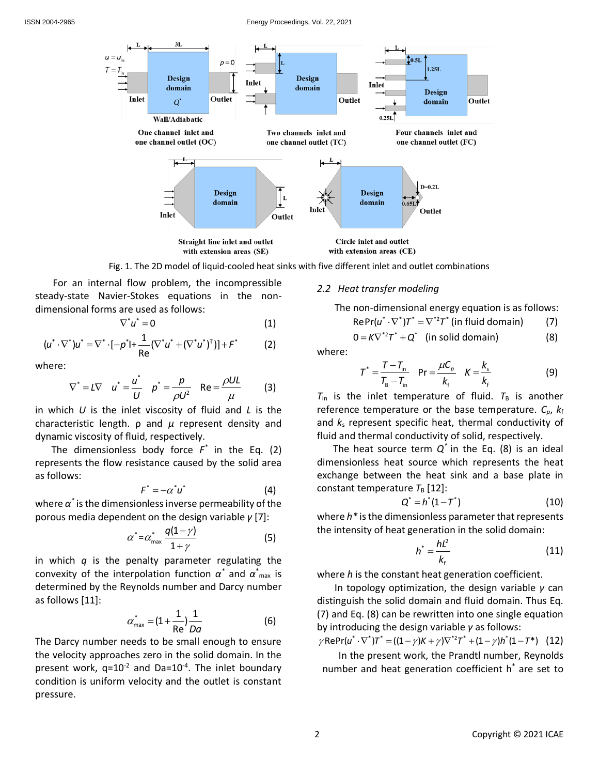#### ISSN 2004-2965 Energy Proceedings, Vol. 22, 2021



Fig. 1. The 2D model of liquid-cooled heat sinks with five different inlet and outlet combinations

For an internal flow problem, the incompressible steady-state Navier-Stokes equations in the nondimensional forms are used as follows:

$$
\nabla^* u^* = 0 \tag{1}
$$

$$
V U = 0
$$
 (1)  

$$
(u^* \cdot \nabla^*) u^* = \nabla^* \cdot [-p^*] + \frac{1}{Re} (\nabla^* u^* + (\nabla^* u^*)^T)] + F^*
$$
 (2)

where:

$$
\nabla^* = L \nabla \quad u^* = \frac{u^*}{U} \quad p^* = \frac{p}{\rho U^2} \quad \text{Re} = \frac{\rho UL}{\mu} \tag{3}
$$

in which *U* is the inlet viscosity of fluid and *L* is the characteristic length. ρ and *μ* represent density and dynamic viscosity of fluid, respectively.

The dimensionless body force  $F^*$  in the Eq. (2) represents the flow resistance caused by the solid area as follows:

$$
F^* = -\alpha^* u^* \tag{4}
$$

where  $\alpha^*$  is the dimensionless inverse permeability of the porous media dependent on the design variable *γ* [7]:

$$
\alpha^* = \alpha^*_{\text{max}} \frac{q(1-\gamma)}{1+\gamma} \tag{5}
$$

in which *q* is the penalty parameter regulating the convexity of the interpolation function *α \** and *α* \* max is determined by the Reynolds number and Darcy number as follows [11]:

$$
\alpha_{\max}^* = (1 + \frac{1}{\text{Re}}) \frac{1}{Da}
$$
 (6)

The Darcy number needs to be small enough to ensure the velocity approaches zero in the solid domain. In the present work,  $q=10^{-2}$  and Da=10<sup>-4</sup>. The inlet boundary condition is uniform velocity and the outlet is constant pressure.

#### *2.2 Heat transfer modeling*

The non-dimensional energy equation is as follows:

$$
RePr(u^* \cdot \nabla^*)T^* = \nabla^{*2}T^* \text{ (in fluid domain)}
$$
 (7)  
 
$$
0 = K \nabla^{*2}T^* + Q^* \text{ (in solid domain)}
$$
 (8)

$$
\hbox{\rm here:}
$$

 $\mathsf{w}$ 

$$
T^* = \frac{T - T_{in}}{T_{B} - T_{in}}
$$
 Pr =  $\frac{\mu C_{p}}{k_f}$   $K = \frac{k_s}{k_f}$  (9)

 $T_{\text{in}}$  is the inlet temperature of fluid.  $T_{\text{B}}$  is another reference temperature or the base temperature. *Cp*, *k*<sup>f</sup> and *k*<sup>s</sup> represent specific heat, thermal conductivity of fluid and thermal conductivity of solid, respectively.

The heat source term  $Q^*$  in the Eq. (8) is an ideal dimensionless heat source which represents the heat exchange between the heat sink and a base plate in constant temperature  $T_B$  [12]:

$$
Q^* = h^*(1 - T^*)
$$
 (10)

where *h\** is the dimensionless parameter that represents the intensity of heat generation in the solid domain:

$$
h^* = \frac{h l^2}{k_{\rm f}} \tag{11}
$$

where *h* is the constant heat generation coefficient.

In topology optimization, the design variable *γ* can distinguish the solid domain and fluid domain. Thus Eq. (7) and Eq. (8) can be rewritten into one single equation by introducing the design variable *γ* as follows:

by introducing the design variable  $\gamma$  as follows:<br>  $\gamma \text{RePr}(u^* \cdot \nabla^*)T^* = ((1 - \gamma)K + \gamma)\nabla^{*2}T^* + (1 - \gamma)h^*(1 - T^*)$  (12)

 In the present work, the Prandtl number, Reynolds number and heat generation coefficient h<sup>\*</sup> are set to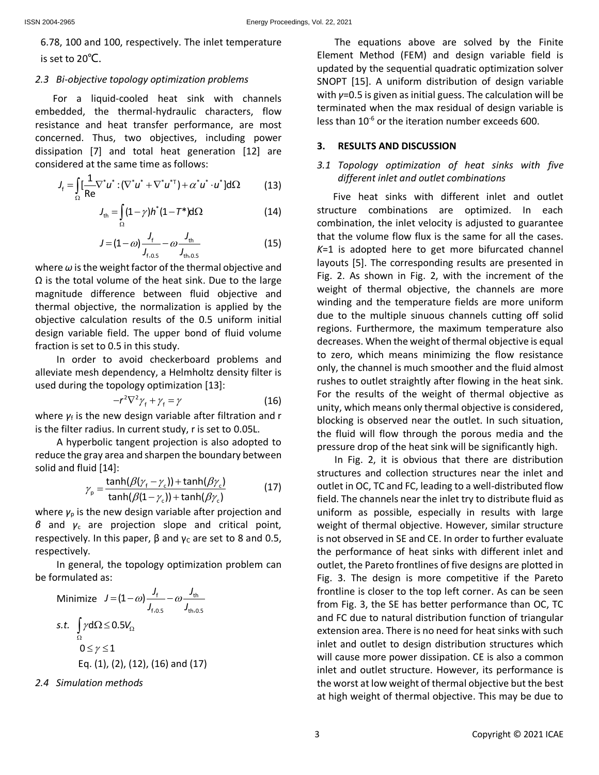6.78, 100 and 100, respectively. The inlet temperature is set to 20℃.

### *2.3 Bi-objective topology optimization problems*

For a liquid-cooled heat sink with channels embedded, the thermal-hydraulic characters, flow resistance and heat transfer performance, are most concerned. Thus, two objectives, including power dissipation [7] and total heat generation [12] are considered at the same time as follows:

$$
J_{f} = \int_{\Omega} \left[ \frac{1}{Re} \nabla^{*} u^{*} : (\nabla^{*} u^{*} + \nabla^{*} u^{*}) + \alpha^{*} u^{*} \cdot u^{*} \right] d\Omega
$$
 (13)

$$
J_{\rm th} = \int_{\Omega} (1 - \gamma) h^*(1 - T^*) d\Omega \qquad (14)
$$

$$
J = (1 - \omega) \frac{J_{\rm f}}{J_{\rm f,0.5}} - \omega \frac{J_{\rm th}}{J_{\rm th,0.5}}
$$
(15)

where *ω*is the weight factor of the thermal objective and  $\Omega$  is the total volume of the heat sink. Due to the large magnitude difference between fluid objective and thermal objective, the normalization is applied by the objective calculation results of the 0.5 uniform initial design variable field. The upper bond of fluid volume fraction is set to 0.5 in this study.

In order to avoid checkerboard problems and alleviate mesh dependency, a Helmholtz density filter is used during the topology optimization [13]:

$$
-r^2 \nabla^2 \gamma_f + \gamma_f = \gamma \tag{16}
$$

where *γ*<sub>f</sub> is the new design variable after filtration and r is the filter radius. In current study, r is set to 0.05L.

A hyperbolic tangent projection is also adopted to reduce the gray area and sharpen the boundary between solid and fluid [14]:

$$
\gamma_{\text{p}} = \frac{\tanh(\beta(\gamma_{\text{f}} - \gamma_{\text{c}})) + \tanh(\beta \gamma_{\text{c}})}{\tanh(\beta(1 - \gamma_{\text{c}})) + \tanh(\beta \gamma_{\text{c}})}\tag{17}
$$

where *γ*<sub>p</sub> is the new design variable after projection and *β* and *γ*<sup>c</sup> are projection slope and critical point, respectively. In this paper,  $β$  and  $γ<sub>C</sub>$  are set to 8 and 0.5, respectively.

In general, the topology optimization problem can be formulated as:

Minimize 
$$
J = (1 - \omega) \frac{J_f}{J_{f,0.5}} - \omega \frac{J_{th}}{J_{th,0.5}}
$$
  
s.t.  $\int_{\Omega} \gamma d\Omega \le 0.5 V_{\Omega}$   
 $0 \le \gamma \le 1$   
Eq. (1), (2), (12), (16) and (17)

*2.4 Simulation methods*

The equations above are solved by the Finite Element Method (FEM) and design variable field is updated by the sequential quadratic optimization solver SNOPT [15]. A uniform distribution of design variable with *γ*=0.5 is given as initial guess. The calculation will be terminated when the max residual of design variable is less than  $10^{-6}$  or the iteration number exceeds 600.

# **3. RESULTS AND DISCUSSION**

# *3.1 Topology optimization of heat sinks with five different inlet and outlet combinations*

Five heat sinks with different inlet and outlet structure combinations are optimized. In each combination, the inlet velocity is adjusted to guarantee that the volume flow flux is the same for all the cases. *K*=1 is adopted here to get more bifurcated channel layouts [5]. The corresponding results are presented in Fig. 2. As shown in Fig. 2, with the increment of the weight of thermal objective, the channels are more winding and the temperature fields are more uniform due to the multiple sinuous channels cutting off solid regions. Furthermore, the maximum temperature also decreases. When the weight of thermal objective is equal to zero, which means minimizing the flow resistance only, the channel is much smoother and the fluid almost rushes to outlet straightly after flowing in the heat sink. For the results of the weight of thermal objective as unity, which means only thermal objective is considered, blocking is observed near the outlet. In such situation, the fluid will flow through the porous media and the pressure drop of the heat sink will be significantly high.

In Fig. 2, it is obvious that there are distribution structures and collection structures near the inlet and outlet in OC, TC and FC, leading to a well-distributed flow field. The channels near the inlet try to distribute fluid as uniform as possible, especially in results with large weight of thermal objective. However, similar structure is not observed in SE and CE. In order to further evaluate the performance of heat sinks with different inlet and outlet, the Pareto frontlines of five designs are plotted in Fig. 3. The design is more competitive if the Pareto frontline is closer to the top left corner. As can be seen from Fig. 3, the SE has better performance than OC, TC and FC due to natural distribution function of triangular extension area. There is no need for heat sinks with such inlet and outlet to design distribution structures which will cause more power dissipation. CE is also a common inlet and outlet structure. However, its performance is the worst at low weight of thermal objective but the best at high weight of thermal objective. This may be due to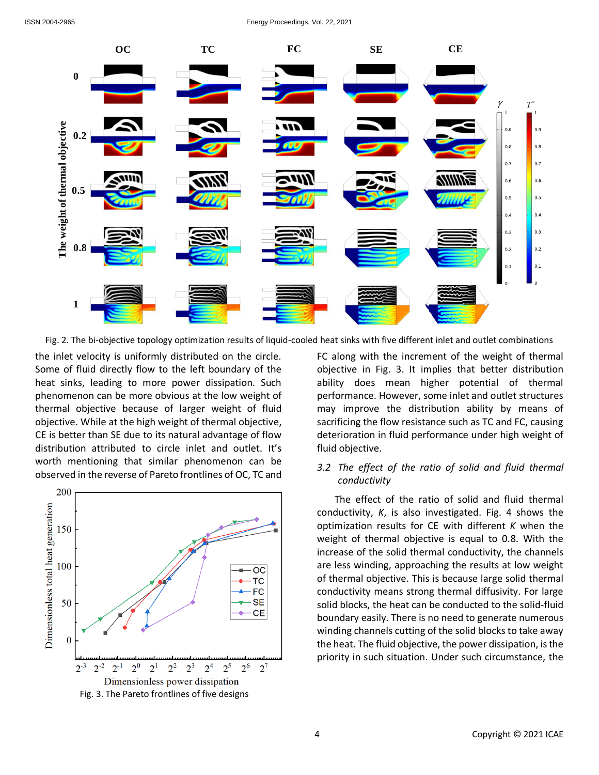

Fig. 2. The bi-objective topology optimization results of liquid-cooled heat sinks with five different inlet and outlet combinations

the inlet velocity is uniformly distributed on the circle. Some of fluid directly flow to the left boundary of the heat sinks, leading to more power dissipation. Such phenomenon can be more obvious at the low weight of thermal objective because of larger weight of fluid objective. While at the high weight of thermal objective, CE is better than SE due to its natural advantage of flow distribution attributed to circle inlet and outlet. It's worth mentioning that similar phenomenon can be observed in the reverse of Pareto frontlines of OC, TC and



FC along with the increment of the weight of thermal objective in Fig. 3. It implies that better distribution ability does mean higher potential of thermal performance. However, some inlet and outlet structures may improve the distribution ability by means of sacrificing the flow resistance such as TC and FC, causing deterioration in fluid performance under high weight of fluid objective.

# *3.2 The effect of the ratio of solid and fluid thermal conductivity*

The effect of the ratio of solid and fluid thermal conductivity, *K*, is also investigated. Fig. 4 shows the optimization results for CE with different *K* when the weight of thermal objective is equal to 0.8. With the increase of the solid thermal conductivity, the channels are less winding, approaching the results at low weight of thermal objective. This is because large solid thermal conductivity means strong thermal diffusivity. For large solid blocks, the heat can be conducted to the solid-fluid boundary easily. There is no need to generate numerous winding channels cutting of the solid blocks to take away the heat. The fluid objective, the power dissipation, is the priority in such situation. Under such circumstance, the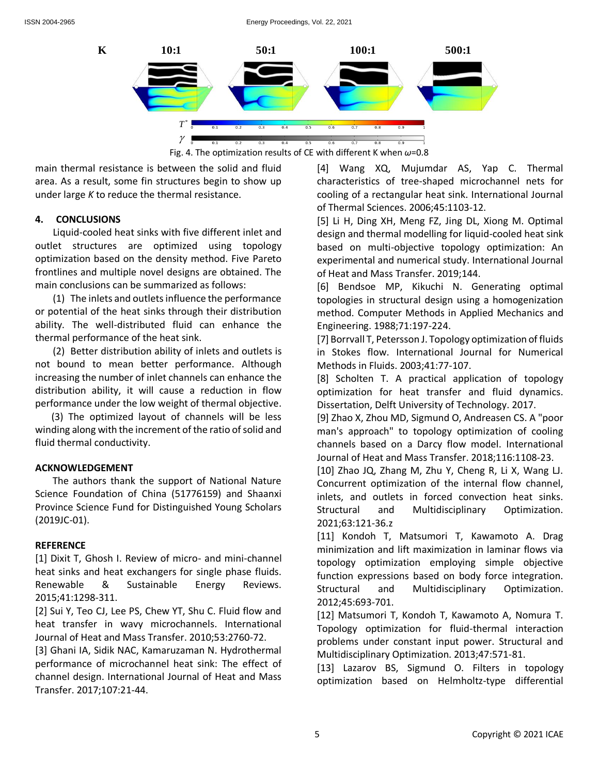

Fig. 4. The optimization results of CE with different K when *ω*=0.8

main thermal resistance is between the solid and fluid area. As a result, some fin structures begin to show up under large *K* to reduce the thermal resistance.

## **4. CONCLUSIONS**

Liquid-cooled heat sinks with five different inlet and outlet structures are optimized using topology optimization based on the density method. Five Pareto frontlines and multiple novel designs are obtained. The main conclusions can be summarized as follows:

(1) The inlets and outlets influence the performance or potential of the heat sinks through their distribution ability. The well-distributed fluid can enhance the thermal performance of the heat sink.

(2) Better distribution ability of inlets and outlets is not bound to mean better performance. Although increasing the number of inlet channels can enhance the distribution ability, it will cause a reduction in flow performance under the low weight of thermal objective.

(3) The optimized layout of channels will be less winding along with the increment of the ratio of solid and fluid thermal conductivity.

# **ACKNOWLEDGEMENT**

The authors thank the support of National Nature Science Foundation of China (51776159) and Shaanxi Province Science Fund for Distinguished Young Scholars (2019JC-01).

### **REFERENCE**

[1] Dixit T, Ghosh I. Review of micro- and mini-channel heat sinks and heat exchangers for single phase fluids. Renewable & Sustainable Energy Reviews. 2015;41:1298-311.

[2] Sui Y, Teo CJ, Lee PS, Chew YT, Shu C. Fluid flow and heat transfer in wavy microchannels. International Journal of Heat and Mass Transfer. 2010;53:2760-72.

[3] Ghani IA, Sidik NAC, Kamaruzaman N. Hydrothermal performance of microchannel heat sink: The effect of channel design. International Journal of Heat and Mass Transfer. 2017;107:21-44.

[4] Wang XQ, Mujumdar AS, Yap C. Thermal characteristics of tree-shaped microchannel nets for cooling of a rectangular heat sink. International Journal of Thermal Sciences. 2006;45:1103-12.

[5] Li H, Ding XH, Meng FZ, Jing DL, Xiong M. Optimal design and thermal modelling for liquid-cooled heat sink based on multi-objective topology optimization: An experimental and numerical study. International Journal of Heat and Mass Transfer. 2019;144.

[6] Bendsoe MP, Kikuchi N. Generating optimal topologies in structural design using a homogenization method. Computer Methods in Applied Mechanics and Engineering. 1988;71:197-224.

[7] Borrvall T, Petersson J. Topology optimization of fluids in Stokes flow. International Journal for Numerical Methods in Fluids. 2003;41:77-107.

[8] Scholten T. A practical application of topology optimization for heat transfer and fluid dynamics. Dissertation, Delft University of Technology. 2017.

[9] Zhao X, Zhou MD, Sigmund O, Andreasen CS. A "poor man's approach" to topology optimization of cooling channels based on a Darcy flow model. International Journal of Heat and Mass Transfer. 2018;116:1108-23.

[10] Zhao JQ, Zhang M, Zhu Y, Cheng R, Li X, Wang LJ. Concurrent optimization of the internal flow channel, inlets, and outlets in forced convection heat sinks. Structural and Multidisciplinary Optimization. 2021;63:121-36.z

[11] Kondoh T, Matsumori T, Kawamoto A. Drag minimization and lift maximization in laminar flows via topology optimization employing simple objective function expressions based on body force integration. Structural and Multidisciplinary Optimization. 2012;45:693-701.

[12] Matsumori T, Kondoh T, Kawamoto A, Nomura T. Topology optimization for fluid-thermal interaction problems under constant input power. Structural and Multidisciplinary Optimization. 2013;47:571-81.

[13] Lazarov BS, Sigmund O. Filters in topology optimization based on Helmholtz-type differential